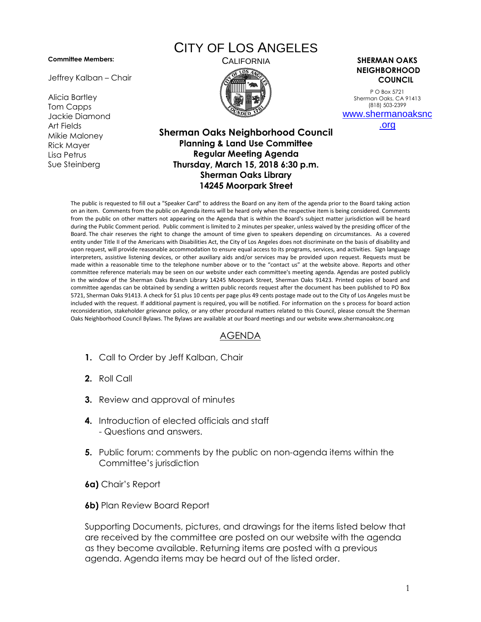## **Committee Members:**

Jeffrey Kalban – Chair

Alicia Bartley Tom Capps Jackie Diamond Art Fields Mikie Maloney Rick Mayer Lisa Petrus Sue Steinberg

## CITY OF LOS ANGELES



CALIFORNIA **SHERMAN OAKS NEIGHBORHOOD COUNCIL**

> P O Box 5721 Sherman Oaks, CA 91413 (818) 503-2399 [www.shermanoaksnc](http://www.shermanoaksnc.org/)

> > [.org](http://www.shermanoaksnc.org/)

## **Sherman Oaks Neighborhood Council Planning & Land Use Committee Regular Meeting Agenda Thursday, March 15, 2018 6:30 p.m. Sherman Oaks Library 14245 Moorpark Street**

The public is requested to fill out a "Speaker Card" to address the Board on any item of the agenda prior to the Board taking action on an item. Comments from the public on Agenda items will be heard only when the respective item is being considered. Comments from the public on other matters not appearing on the Agenda that is within the Board's subject matter jurisdiction will be heard during the Public Comment period. Public comment is limited to 2 minutes per speaker, unless waived by the presiding officer of the Board. The chair reserves the right to change the amount of time given to speakers depending on circumstances. As a covered entity under Title II of the Americans with Disabilities Act, the City of Los Angeles does not discriminate on the basis of disability and upon request, will provide reasonable accommodation to ensure equal access to its programs, services, and activities. Sign language interpreters, assistive listening devices, or other auxiliary aids and/or services may be provided upon request. Requests must be made within a reasonable time to the telephone number above or to the "contact us" at the website above. Reports and other committee reference materials may be seen on our website under each committee's meeting agenda. Agendas are posted publicly in the window of the Sherman Oaks Branch Library 14245 Moorpark Street, Sherman Oaks 91423. Printed copies of board and committee agendas can be obtained by sending a written public records request after the document has been published to PO Box 5721, Sherman Oaks 91413. A check for \$1 plus 10 cents per page plus 49 cents postage made out to the City of Los Angeles must be included with the request. If additional payment is required, you will be notified. For information on the s process for board action reconsideration, stakeholder grievance policy, or any other procedural matters related to this Council, please consult the Sherman Oaks Neighborhood Council Bylaws. The Bylaws are available at our Board meetings and our website www.shermanoaksnc.org

## AGENDA

- **1.** Call to Order by Jeff Kalban, Chair
- **2.** Roll Call
- **3.** Review and approval of minutes
- **4.** Introduction of elected officials and staff - Questions and answers.
- **5.** Public forum: comments by the public on non-agenda items within the Committee's jurisdiction
- **6a)** Chair's Report
- **6b)** Plan Review Board Report

Supporting Documents, pictures, and drawings for the items listed below that are received by the committee are posted on our website with the agenda as they become available. Returning items are posted with a previous agenda. Agenda items may be heard out of the listed order.